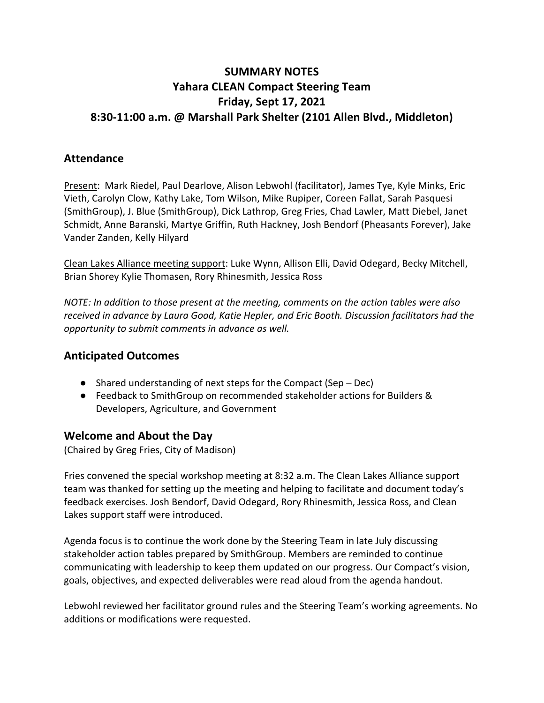# **SUMMARY NOTES Yahara CLEAN Compact Steering Team Friday, Sept 17, 2021 8:30-11:00 a.m. @ Marshall Park Shelter (2101 Allen Blvd., Middleton)**

### **Attendance**

Present: Mark Riedel, Paul Dearlove, Alison Lebwohl (facilitator), James Tye, Kyle Minks, Eric Vieth, Carolyn Clow, Kathy Lake, Tom Wilson, Mike Rupiper, Coreen Fallat, Sarah Pasquesi (SmithGroup), J. Blue (SmithGroup), Dick Lathrop, Greg Fries, Chad Lawler, Matt Diebel, Janet Schmidt, Anne Baranski, Martye Griffin, Ruth Hackney, Josh Bendorf (Pheasants Forever), Jake Vander Zanden, Kelly Hilyard

Clean Lakes Alliance meeting support: Luke Wynn, Allison Elli, David Odegard, Becky Mitchell, Brian Shorey Kylie Thomasen, Rory Rhinesmith, Jessica Ross

*NOTE: In addition to those present at the meeting, comments on the action tables were also received in advance by Laura Good, Katie Hepler, and Eric Booth. Discussion facilitators had the opportunity to submit comments in advance as well.*

## **Anticipated Outcomes**

- Shared understanding of next steps for the Compact (Sep Dec)
- Feedback to SmithGroup on recommended stakeholder actions for Builders & Developers, Agriculture, and Government

### **Welcome and About the Day**

(Chaired by Greg Fries, City of Madison)

Fries convened the special workshop meeting at 8:32 a.m. The Clean Lakes Alliance support team was thanked for setting up the meeting and helping to facilitate and document today's feedback exercises. Josh Bendorf, David Odegard, Rory Rhinesmith, Jessica Ross, and Clean Lakes support staff were introduced.

Agenda focus is to continue the work done by the Steering Team in late July discussing stakeholder action tables prepared by SmithGroup. Members are reminded to continue communicating with leadership to keep them updated on our progress. Our Compact's vision, goals, objectives, and expected deliverables were read aloud from the agenda handout.

Lebwohl reviewed her facilitator ground rules and the Steering Team's working agreements. No additions or modifications were requested.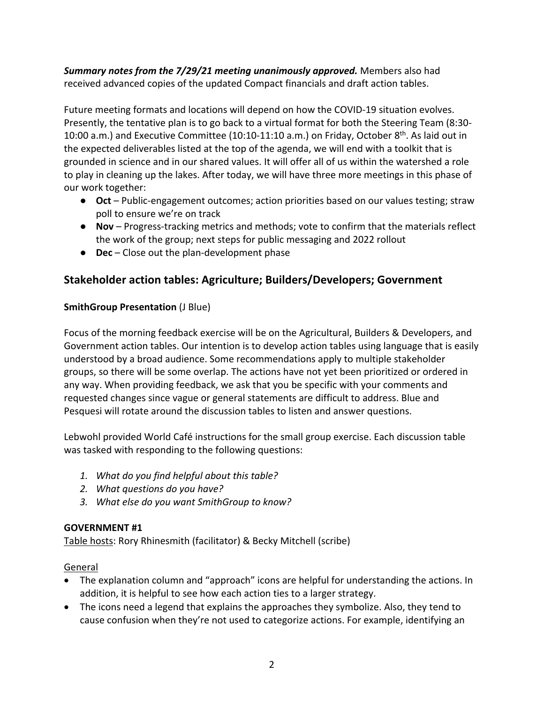*Summary notes from the 7/29/21 meeting unanimously approved.* Members also had received advanced copies of the updated Compact financials and draft action tables.

Future meeting formats and locations will depend on how the COVID-19 situation evolves. Presently, the tentative plan is to go back to a virtual format for both the Steering Team (8:30- 10:00 a.m.) and Executive Committee (10:10-11:10 a.m.) on Friday, October  $8^{th}$ . As laid out in the expected deliverables listed at the top of the agenda, we will end with a toolkit that is grounded in science and in our shared values. It will offer all of us within the watershed a role to play in cleaning up the lakes. After today, we will have three more meetings in this phase of our work together:

- **Oct** Public-engagement outcomes; action priorities based on our values testing; straw poll to ensure we're on track
- **Nov** Progress-tracking metrics and methods; vote to confirm that the materials reflect the work of the group; next steps for public messaging and 2022 rollout
- **Dec** Close out the plan-development phase

## **Stakeholder action tables: Agriculture; Builders/Developers; Government**

#### **SmithGroup Presentation** (J Blue)

Focus of the morning feedback exercise will be on the Agricultural, Builders & Developers, and Government action tables. Our intention is to develop action tables using language that is easily understood by a broad audience. Some recommendations apply to multiple stakeholder groups, so there will be some overlap. The actions have not yet been prioritized or ordered in any way. When providing feedback, we ask that you be specific with your comments and requested changes since vague or general statements are difficult to address. Blue and Pesquesi will rotate around the discussion tables to listen and answer questions.

Lebwohl provided World Café instructions for the small group exercise. Each discussion table was tasked with responding to the following questions:

- *1. What do you find helpful about this table?*
- *2. What questions do you have?*
- *3. What else do you want SmithGroup to know?*

#### **GOVERNMENT #1**

Table hosts: Rory Rhinesmith (facilitator) & Becky Mitchell (scribe)

- The explanation column and "approach" icons are helpful for understanding the actions. In addition, it is helpful to see how each action ties to a larger strategy.
- The icons need a legend that explains the approaches they symbolize. Also, they tend to cause confusion when they're not used to categorize actions. For example, identifying an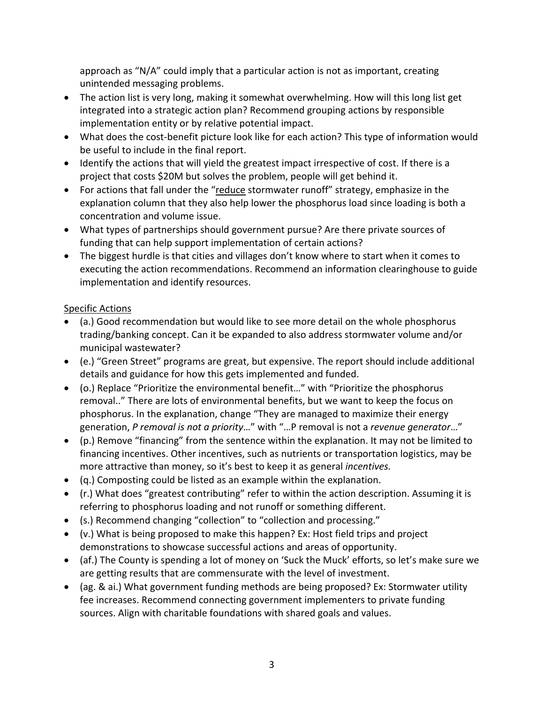approach as "N/A" could imply that a particular action is not as important, creating unintended messaging problems.

- The action list is very long, making it somewhat overwhelming. How will this long list get integrated into a strategic action plan? Recommend grouping actions by responsible implementation entity or by relative potential impact.
- What does the cost-benefit picture look like for each action? This type of information would be useful to include in the final report.
- Identify the actions that will yield the greatest impact irrespective of cost. If there is a project that costs \$20M but solves the problem, people will get behind it.
- For actions that fall under the "reduce stormwater runoff" strategy, emphasize in the explanation column that they also help lower the phosphorus load since loading is both a concentration and volume issue.
- What types of partnerships should government pursue? Are there private sources of funding that can help support implementation of certain actions?
- The biggest hurdle is that cities and villages don't know where to start when it comes to executing the action recommendations. Recommend an information clearinghouse to guide implementation and identify resources.

- (a.) Good recommendation but would like to see more detail on the whole phosphorus trading/banking concept. Can it be expanded to also address stormwater volume and/or municipal wastewater?
- (e.) "Green Street" programs are great, but expensive. The report should include additional details and guidance for how this gets implemented and funded.
- (o.) Replace "Prioritize the environmental benefit…" with "Prioritize the phosphorus removal.." There are lots of environmental benefits, but we want to keep the focus on phosphorus. In the explanation, change "They are managed to maximize their energy generation, *P removal is not a priority*…" with "…P removal is not a *revenue generator*…"
- (p.) Remove "financing" from the sentence within the explanation. It may not be limited to financing incentives. Other incentives, such as nutrients or transportation logistics, may be more attractive than money, so it's best to keep it as general *incentives.*
- (q.) Composting could be listed as an example within the explanation.
- (r.) What does "greatest contributing" refer to within the action description. Assuming it is referring to phosphorus loading and not runoff or something different.
- (s.) Recommend changing "collection" to "collection and processing."
- (v.) What is being proposed to make this happen? Ex: Host field trips and project demonstrations to showcase successful actions and areas of opportunity.
- (af.) The County is spending a lot of money on 'Suck the Muck' efforts, so let's make sure we are getting results that are commensurate with the level of investment.
- (ag. & ai.) What government funding methods are being proposed? Ex: Stormwater utility fee increases. Recommend connecting government implementers to private funding sources. Align with charitable foundations with shared goals and values.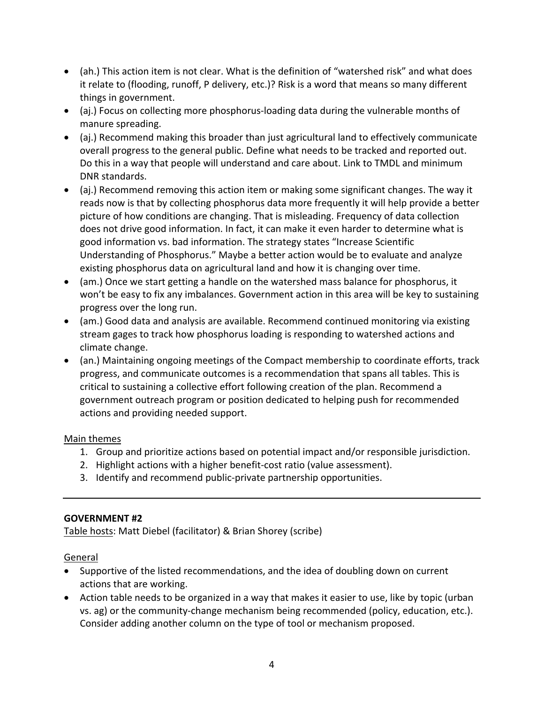- (ah.) This action item is not clear. What is the definition of "watershed risk" and what does it relate to (flooding, runoff, P delivery, etc.)? Risk is a word that means so many different things in government.
- (aj.) Focus on collecting more phosphorus-loading data during the vulnerable months of manure spreading.
- (aj.) Recommend making this broader than just agricultural land to effectively communicate overall progress to the general public. Define what needs to be tracked and reported out. Do this in a way that people will understand and care about. Link to TMDL and minimum DNR standards.
- (aj.) Recommend removing this action item or making some significant changes. The way it reads now is that by collecting phosphorus data more frequently it will help provide a better picture of how conditions are changing. That is misleading. Frequency of data collection does not drive good information. In fact, it can make it even harder to determine what is good information vs. bad information. The strategy states "Increase Scientific Understanding of Phosphorus." Maybe a better action would be to evaluate and analyze existing phosphorus data on agricultural land and how it is changing over time.
- (am.) Once we start getting a handle on the watershed mass balance for phosphorus, it won't be easy to fix any imbalances. Government action in this area will be key to sustaining progress over the long run.
- (am.) Good data and analysis are available. Recommend continued monitoring via existing stream gages to track how phosphorus loading is responding to watershed actions and climate change.
- (an.) Maintaining ongoing meetings of the Compact membership to coordinate efforts, track progress, and communicate outcomes is a recommendation that spans all tables. This is critical to sustaining a collective effort following creation of the plan. Recommend a government outreach program or position dedicated to helping push for recommended actions and providing needed support.

- 1. Group and prioritize actions based on potential impact and/or responsible jurisdiction.
- 2. Highlight actions with a higher benefit-cost ratio (value assessment).
- 3. Identify and recommend public-private partnership opportunities.

#### **GOVERNMENT #2**

Table hosts: Matt Diebel (facilitator) & Brian Shorey (scribe)

- Supportive of the listed recommendations, and the idea of doubling down on current actions that are working.
- Action table needs to be organized in a way that makes it easier to use, like by topic (urban vs. ag) or the community-change mechanism being recommended (policy, education, etc.). Consider adding another column on the type of tool or mechanism proposed.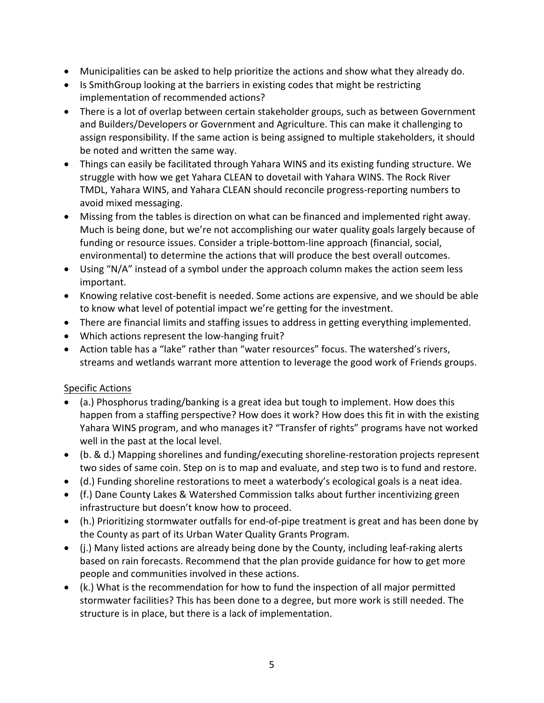- Municipalities can be asked to help prioritize the actions and show what they already do.
- Is SmithGroup looking at the barriers in existing codes that might be restricting implementation of recommended actions?
- There is a lot of overlap between certain stakeholder groups, such as between Government and Builders/Developers or Government and Agriculture. This can make it challenging to assign responsibility. If the same action is being assigned to multiple stakeholders, it should be noted and written the same way.
- Things can easily be facilitated through Yahara WINS and its existing funding structure. We struggle with how we get Yahara CLEAN to dovetail with Yahara WINS. The Rock River TMDL, Yahara WINS, and Yahara CLEAN should reconcile progress-reporting numbers to avoid mixed messaging.
- Missing from the tables is direction on what can be financed and implemented right away. Much is being done, but we're not accomplishing our water quality goals largely because of funding or resource issues. Consider a triple-bottom-line approach (financial, social, environmental) to determine the actions that will produce the best overall outcomes.
- Using "N/A" instead of a symbol under the approach column makes the action seem less important.
- Knowing relative cost-benefit is needed. Some actions are expensive, and we should be able to know what level of potential impact we're getting for the investment.
- There are financial limits and staffing issues to address in getting everything implemented.
- Which actions represent the low-hanging fruit?
- Action table has a "lake" rather than "water resources" focus. The watershed's rivers, streams and wetlands warrant more attention to leverage the good work of Friends groups.

- (a.) Phosphorus trading/banking is a great idea but tough to implement. How does this happen from a staffing perspective? How does it work? How does this fit in with the existing Yahara WINS program, and who manages it? "Transfer of rights" programs have not worked well in the past at the local level.
- (b. & d.) Mapping shorelines and funding/executing shoreline-restoration projects represent two sides of same coin. Step on is to map and evaluate, and step two is to fund and restore.
- (d.) Funding shoreline restorations to meet a waterbody's ecological goals is a neat idea.
- (f.) Dane County Lakes & Watershed Commission talks about further incentivizing green infrastructure but doesn't know how to proceed.
- (h.) Prioritizing stormwater outfalls for end-of-pipe treatment is great and has been done by the County as part of its Urban Water Quality Grants Program.
- (j.) Many listed actions are already being done by the County, including leaf-raking alerts based on rain forecasts. Recommend that the plan provide guidance for how to get more people and communities involved in these actions.
- (k.) What is the recommendation for how to fund the inspection of all major permitted stormwater facilities? This has been done to a degree, but more work is still needed. The structure is in place, but there is a lack of implementation.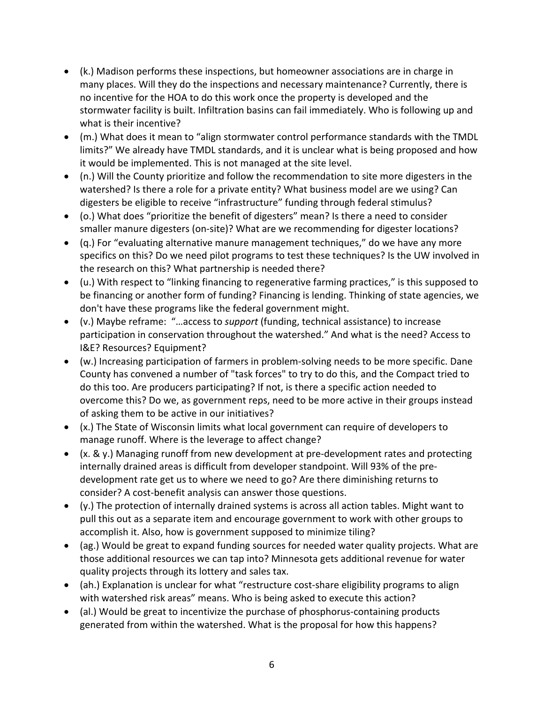- (k.) Madison performs these inspections, but homeowner associations are in charge in many places. Will they do the inspections and necessary maintenance? Currently, there is no incentive for the HOA to do this work once the property is developed and the stormwater facility is built. Infiltration basins can fail immediately. Who is following up and what is their incentive?
- (m.) What does it mean to "align stormwater control performance standards with the TMDL limits?" We already have TMDL standards, and it is unclear what is being proposed and how it would be implemented. This is not managed at the site level.
- (n.) Will the County prioritize and follow the recommendation to site more digesters in the watershed? Is there a role for a private entity? What business model are we using? Can digesters be eligible to receive "infrastructure" funding through federal stimulus?
- (o.) What does "prioritize the benefit of digesters" mean? Is there a need to consider smaller manure digesters (on-site)? What are we recommending for digester locations?
- (q.) For "evaluating alternative manure management techniques," do we have any more specifics on this? Do we need pilot programs to test these techniques? Is the UW involved in the research on this? What partnership is needed there?
- (u.) With respect to "linking financing to regenerative farming practices," is this supposed to be financing or another form of funding? Financing is lending. Thinking of state agencies, we don't have these programs like the federal government might.
- (v.) Maybe reframe: "…access to *support* (funding, technical assistance) to increase participation in conservation throughout the watershed." And what is the need? Access to I&E? Resources? Equipment?
- (w.) Increasing participation of farmers in problem-solving needs to be more specific. Dane County has convened a number of "task forces" to try to do this, and the Compact tried to do this too. Are producers participating? If not, is there a specific action needed to overcome this? Do we, as government reps, need to be more active in their groups instead of asking them to be active in our initiatives?
- (x.) The State of Wisconsin limits what local government can require of developers to manage runoff. Where is the leverage to affect change?
- (x. & y.) Managing runoff from new development at pre-development rates and protecting internally drained areas is difficult from developer standpoint. Will 93% of the predevelopment rate get us to where we need to go? Are there diminishing returns to consider? A cost-benefit analysis can answer those questions.
- (y.) The protection of internally drained systems is across all action tables. Might want to pull this out as a separate item and encourage government to work with other groups to accomplish it. Also, how is government supposed to minimize tiling?
- (ag.) Would be great to expand funding sources for needed water quality projects. What are those additional resources we can tap into? Minnesota gets additional revenue for water quality projects through its lottery and sales tax.
- (ah.) Explanation is unclear for what "restructure cost-share eligibility programs to align with watershed risk areas" means. Who is being asked to execute this action?
- (al.) Would be great to incentivize the purchase of phosphorus-containing products generated from within the watershed. What is the proposal for how this happens?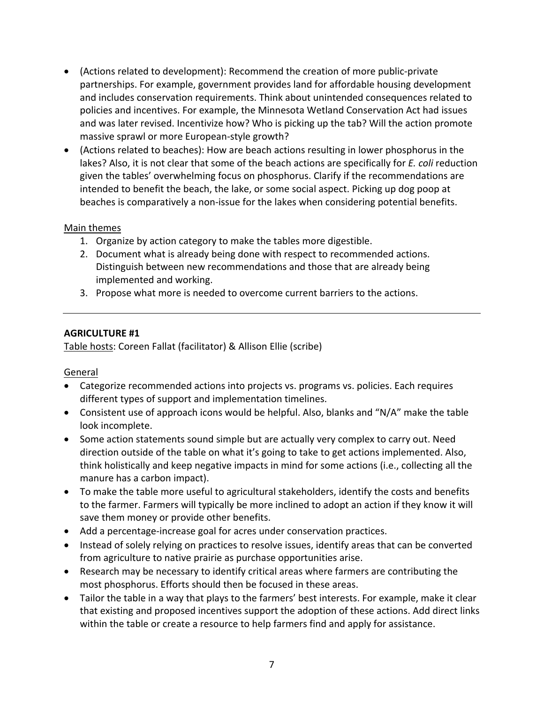- (Actions related to development): Recommend the creation of more public-private partnerships. For example, government provides land for affordable housing development and includes conservation requirements. Think about unintended consequences related to policies and incentives. For example, the Minnesota Wetland Conservation Act had issues and was later revised. Incentivize how? Who is picking up the tab? Will the action promote massive sprawl or more European-style growth?
- (Actions related to beaches): How are beach actions resulting in lower phosphorus in the lakes? Also, it is not clear that some of the beach actions are specifically for *E. coli* reduction given the tables' overwhelming focus on phosphorus. Clarify if the recommendations are intended to benefit the beach, the lake, or some social aspect. Picking up dog poop at beaches is comparatively a non-issue for the lakes when considering potential benefits.

- 1. Organize by action category to make the tables more digestible.
- 2. Document what is already being done with respect to recommended actions. Distinguish between new recommendations and those that are already being implemented and working.
- 3. Propose what more is needed to overcome current barriers to the actions.

#### **AGRICULTURE #1**

Table hosts: Coreen Fallat (facilitator) & Allison Ellie (scribe)

- Categorize recommended actions into projects vs. programs vs. policies. Each requires different types of support and implementation timelines.
- Consistent use of approach icons would be helpful. Also, blanks and "N/A" make the table look incomplete.
- Some action statements sound simple but are actually very complex to carry out. Need direction outside of the table on what it's going to take to get actions implemented. Also, think holistically and keep negative impacts in mind for some actions (i.e., collecting all the manure has a carbon impact).
- To make the table more useful to agricultural stakeholders, identify the costs and benefits to the farmer. Farmers will typically be more inclined to adopt an action if they know it will save them money or provide other benefits.
- Add a percentage-increase goal for acres under conservation practices.
- Instead of solely relying on practices to resolve issues, identify areas that can be converted from agriculture to native prairie as purchase opportunities arise.
- Research may be necessary to identify critical areas where farmers are contributing the most phosphorus. Efforts should then be focused in these areas.
- Tailor the table in a way that plays to the farmers' best interests. For example, make it clear that existing and proposed incentives support the adoption of these actions. Add direct links within the table or create a resource to help farmers find and apply for assistance.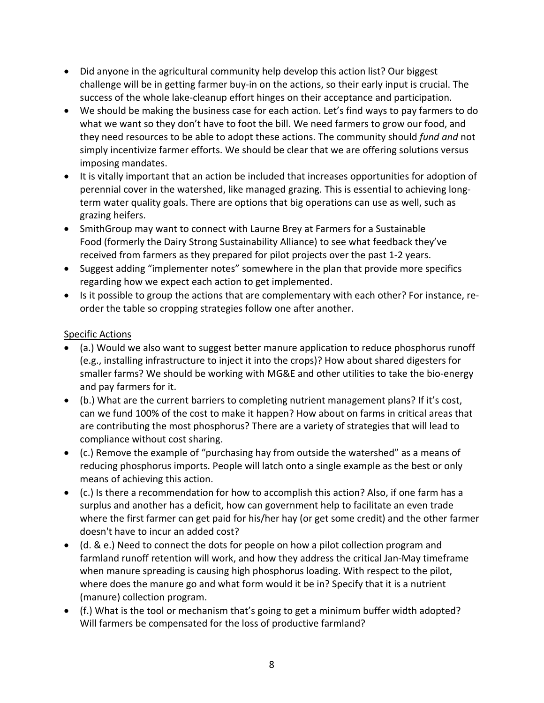- Did anyone in the agricultural community help develop this action list? Our biggest challenge will be in getting farmer buy-in on the actions, so their early input is crucial. The success of the whole lake-cleanup effort hinges on their acceptance and participation.
- We should be making the business case for each action. Let's find ways to pay farmers to do what we want so they don't have to foot the bill. We need farmers to grow our food, and they need resources to be able to adopt these actions. The community should *fund and* not simply incentivize farmer efforts. We should be clear that we are offering solutions versus imposing mandates.
- It is vitally important that an action be included that increases opportunities for adoption of perennial cover in the watershed, like managed grazing. This is essential to achieving longterm water quality goals. There are options that big operations can use as well, such as grazing heifers.
- SmithGroup may want to connect with Laurne Brey at Farmers for a Sustainable Food (formerly the Dairy Strong Sustainability Alliance) to see what feedback they've received from farmers as they prepared for pilot projects over the past 1-2 years.
- Suggest adding "implementer notes" somewhere in the plan that provide more specifics regarding how we expect each action to get implemented.
- Is it possible to group the actions that are complementary with each other? For instance, reorder the table so cropping strategies follow one after another.

- (a.) Would we also want to suggest better manure application to reduce phosphorus runoff (e.g., installing infrastructure to inject it into the crops)? How about shared digesters for smaller farms? We should be working with MG&E and other utilities to take the bio-energy and pay farmers for it.
- (b.) What are the current barriers to completing nutrient management plans? If it's cost, can we fund 100% of the cost to make it happen? How about on farms in critical areas that are contributing the most phosphorus? There are a variety of strategies that will lead to compliance without cost sharing.
- (c.) Remove the example of "purchasing hay from outside the watershed" as a means of reducing phosphorus imports. People will latch onto a single example as the best or only means of achieving this action.
- (c.) Is there a recommendation for how to accomplish this action? Also, if one farm has a surplus and another has a deficit, how can government help to facilitate an even trade where the first farmer can get paid for his/her hay (or get some credit) and the other farmer doesn't have to incur an added cost?
- (d. & e.) Need to connect the dots for people on how a pilot collection program and farmland runoff retention will work, and how they address the critical Jan-May timeframe when manure spreading is causing high phosphorus loading. With respect to the pilot, where does the manure go and what form would it be in? Specify that it is a nutrient (manure) collection program.
- (f.) What is the tool or mechanism that's going to get a minimum buffer width adopted? Will farmers be compensated for the loss of productive farmland?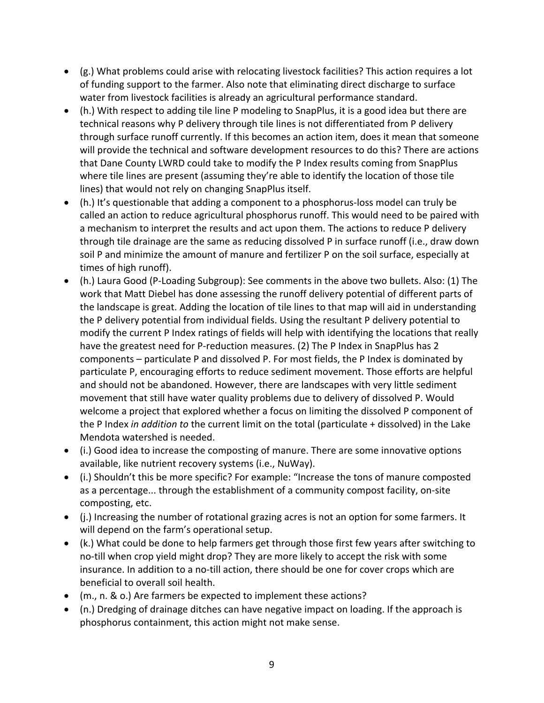- (g.) What problems could arise with relocating livestock facilities? This action requires a lot of funding support to the farmer. Also note that eliminating direct discharge to surface water from livestock facilities is already an agricultural performance standard.
- (h.) With respect to adding tile line P modeling to SnapPlus, it is a good idea but there are technical reasons why P delivery through tile lines is not differentiated from P delivery through surface runoff currently. If this becomes an action item, does it mean that someone will provide the technical and software development resources to do this? There are actions that Dane County LWRD could take to modify the P Index results coming from SnapPlus where tile lines are present (assuming they're able to identify the location of those tile lines) that would not rely on changing SnapPlus itself.
- (h.) It's questionable that adding a component to a phosphorus-loss model can truly be called an action to reduce agricultural phosphorus runoff. This would need to be paired with a mechanism to interpret the results and act upon them. The actions to reduce P delivery through tile drainage are the same as reducing dissolved P in surface runoff (i.e., draw down soil P and minimize the amount of manure and fertilizer P on the soil surface, especially at times of high runoff).
- (h.) Laura Good (P-Loading Subgroup): See comments in the above two bullets. Also: (1) The work that Matt Diebel has done assessing the runoff delivery potential of different parts of the landscape is great. Adding the location of tile lines to that map will aid in understanding the P delivery potential from individual fields. Using the resultant P delivery potential to modify the current P Index ratings of fields will help with identifying the locations that really have the greatest need for P-reduction measures. (2) The P Index in SnapPlus has 2 components – particulate P and dissolved P. For most fields, the P Index is dominated by particulate P, encouraging efforts to reduce sediment movement. Those efforts are helpful and should not be abandoned. However, there are landscapes with very little sediment movement that still have water quality problems due to delivery of dissolved P. Would welcome a project that explored whether a focus on limiting the dissolved P component of the P Index *in addition to* the current limit on the total (particulate + dissolved) in the Lake Mendota watershed is needed.
- (i.) Good idea to increase the composting of manure. There are some innovative options available, like nutrient recovery systems (i.e., NuWay).
- (i.) Shouldn't this be more specific? For example: "Increase the tons of manure composted as a percentage... through the establishment of a community compost facility, on-site composting, etc.
- (j.) Increasing the number of rotational grazing acres is not an option for some farmers. It will depend on the farm's operational setup.
- (k.) What could be done to help farmers get through those first few years after switching to no-till when crop yield might drop? They are more likely to accept the risk with some insurance. In addition to a no-till action, there should be one for cover crops which are beneficial to overall soil health.
- (m., n. & o.) Are farmers be expected to implement these actions?
- (n.) Dredging of drainage ditches can have negative impact on loading. If the approach is phosphorus containment, this action might not make sense.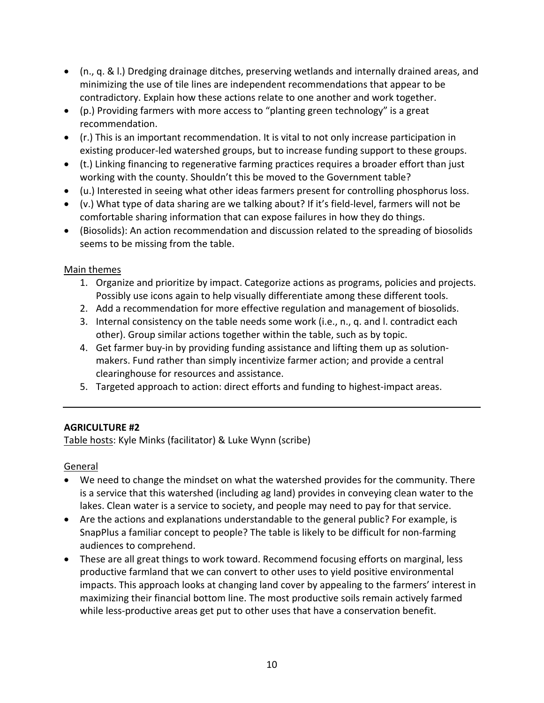- (n., q. & l.) Dredging drainage ditches, preserving wetlands and internally drained areas, and minimizing the use of tile lines are independent recommendations that appear to be contradictory. Explain how these actions relate to one another and work together.
- (p.) Providing farmers with more access to "planting green technology" is a great recommendation.
- (r.) This is an important recommendation. It is vital to not only increase participation in existing producer-led watershed groups, but to increase funding support to these groups.
- (t.) Linking financing to regenerative farming practices requires a broader effort than just working with the county. Shouldn't this be moved to the Government table?
- (u.) Interested in seeing what other ideas farmers present for controlling phosphorus loss.
- (v.) What type of data sharing are we talking about? If it's field-level, farmers will not be comfortable sharing information that can expose failures in how they do things.
- (Biosolids): An action recommendation and discussion related to the spreading of biosolids seems to be missing from the table.

- 1. Organize and prioritize by impact. Categorize actions as programs, policies and projects. Possibly use icons again to help visually differentiate among these different tools.
- 2. Add a recommendation for more effective regulation and management of biosolids.
- 3. Internal consistency on the table needs some work (i.e., n., q. and l. contradict each other). Group similar actions together within the table, such as by topic.
- 4. Get farmer buy-in by providing funding assistance and lifting them up as solutionmakers. Fund rather than simply incentivize farmer action; and provide a central clearinghouse for resources and assistance.
- 5. Targeted approach to action: direct efforts and funding to highest-impact areas.

## **AGRICULTURE #2**

Table hosts: Kyle Minks (facilitator) & Luke Wynn (scribe)

- We need to change the mindset on what the watershed provides for the community. There is a service that this watershed (including ag land) provides in conveying clean water to the lakes. Clean water is a service to society, and people may need to pay for that service.
- Are the actions and explanations understandable to the general public? For example, is SnapPlus a familiar concept to people? The table is likely to be difficult for non-farming audiences to comprehend.
- These are all great things to work toward. Recommend focusing efforts on marginal, less productive farmland that we can convert to other uses to yield positive environmental impacts. This approach looks at changing land cover by appealing to the farmers' interest in maximizing their financial bottom line. The most productive soils remain actively farmed while less-productive areas get put to other uses that have a conservation benefit.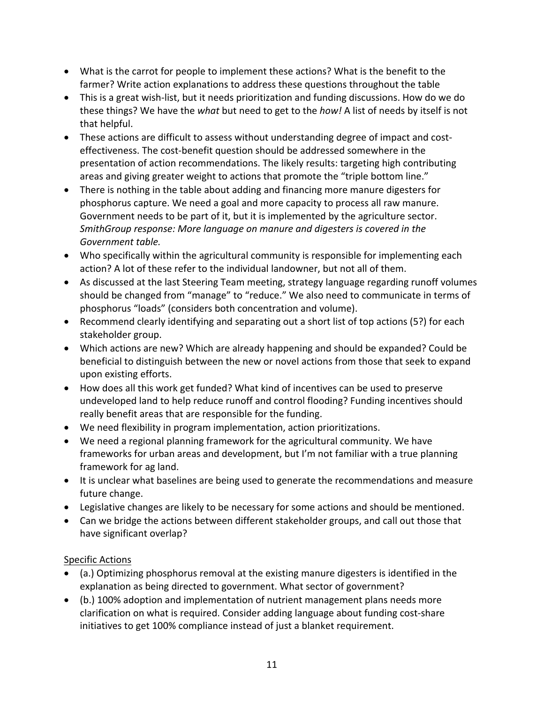- What is the carrot for people to implement these actions? What is the benefit to the farmer? Write action explanations to address these questions throughout the table
- This is a great wish-list, but it needs prioritization and funding discussions. How do we do these things? We have the *what* but need to get to the *how!* A list of needs by itself is not that helpful.
- These actions are difficult to assess without understanding degree of impact and costeffectiveness. The cost-benefit question should be addressed somewhere in the presentation of action recommendations. The likely results: targeting high contributing areas and giving greater weight to actions that promote the "triple bottom line."
- There is nothing in the table about adding and financing more manure digesters for phosphorus capture. We need a goal and more capacity to process all raw manure. Government needs to be part of it, but it is implemented by the agriculture sector. *SmithGroup response: More language on manure and digesters is covered in the Government table.*
- Who specifically within the agricultural community is responsible for implementing each action? A lot of these refer to the individual landowner, but not all of them.
- As discussed at the last Steering Team meeting, strategy language regarding runoff volumes should be changed from "manage" to "reduce." We also need to communicate in terms of phosphorus "loads" (considers both concentration and volume).
- Recommend clearly identifying and separating out a short list of top actions (5?) for each stakeholder group.
- Which actions are new? Which are already happening and should be expanded? Could be beneficial to distinguish between the new or novel actions from those that seek to expand upon existing efforts.
- How does all this work get funded? What kind of incentives can be used to preserve undeveloped land to help reduce runoff and control flooding? Funding incentives should really benefit areas that are responsible for the funding.
- We need flexibility in program implementation, action prioritizations.
- We need a regional planning framework for the agricultural community. We have frameworks for urban areas and development, but I'm not familiar with a true planning framework for ag land.
- It is unclear what baselines are being used to generate the recommendations and measure future change.
- Legislative changes are likely to be necessary for some actions and should be mentioned.
- Can we bridge the actions between different stakeholder groups, and call out those that have significant overlap?

- (a.) Optimizing phosphorus removal at the existing manure digesters is identified in the explanation as being directed to government. What sector of government?
- (b.) 100% adoption and implementation of nutrient management plans needs more clarification on what is required. Consider adding language about funding cost-share initiatives to get 100% compliance instead of just a blanket requirement.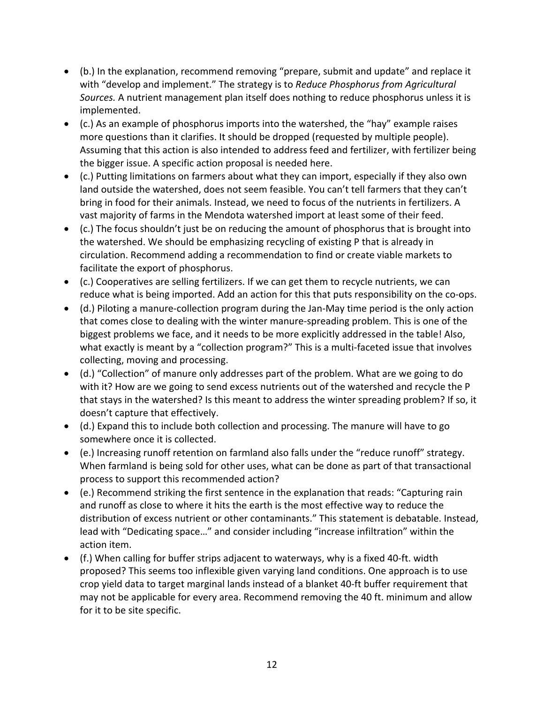- (b.) In the explanation, recommend removing "prepare, submit and update" and replace it with "develop and implement." The strategy is to *Reduce Phosphorus from Agricultural Sources.* A nutrient management plan itself does nothing to reduce phosphorus unless it is implemented.
- (c.) As an example of phosphorus imports into the watershed, the "hay" example raises more questions than it clarifies. It should be dropped (requested by multiple people). Assuming that this action is also intended to address feed and fertilizer, with fertilizer being the bigger issue. A specific action proposal is needed here.
- (c.) Putting limitations on farmers about what they can import, especially if they also own land outside the watershed, does not seem feasible. You can't tell farmers that they can't bring in food for their animals. Instead, we need to focus of the nutrients in fertilizers. A vast majority of farms in the Mendota watershed import at least some of their feed.
- (c.) The focus shouldn't just be on reducing the amount of phosphorus that is brought into the watershed. We should be emphasizing recycling of existing P that is already in circulation. Recommend adding a recommendation to find or create viable markets to facilitate the export of phosphorus.
- (c.) Cooperatives are selling fertilizers. If we can get them to recycle nutrients, we can reduce what is being imported. Add an action for this that puts responsibility on the co-ops.
- (d.) Piloting a manure-collection program during the Jan-May time period is the only action that comes close to dealing with the winter manure-spreading problem. This is one of the biggest problems we face, and it needs to be more explicitly addressed in the table! Also, what exactly is meant by a "collection program?" This is a multi-faceted issue that involves collecting, moving and processing.
- (d.) "Collection" of manure only addresses part of the problem. What are we going to do with it? How are we going to send excess nutrients out of the watershed and recycle the P that stays in the watershed? Is this meant to address the winter spreading problem? If so, it doesn't capture that effectively.
- (d.) Expand this to include both collection and processing. The manure will have to go somewhere once it is collected.
- (e.) Increasing runoff retention on farmland also falls under the "reduce runoff" strategy. When farmland is being sold for other uses, what can be done as part of that transactional process to support this recommended action?
- (e.) Recommend striking the first sentence in the explanation that reads: "Capturing rain and runoff as close to where it hits the earth is the most effective way to reduce the distribution of excess nutrient or other contaminants." This statement is debatable. Instead, lead with "Dedicating space…" and consider including "increase infiltration" within the action item.
- (f.) When calling for buffer strips adjacent to waterways, why is a fixed 40-ft. width proposed? This seems too inflexible given varying land conditions. One approach is to use crop yield data to target marginal lands instead of a blanket 40-ft buffer requirement that may not be applicable for every area. Recommend removing the 40 ft. minimum and allow for it to be site specific.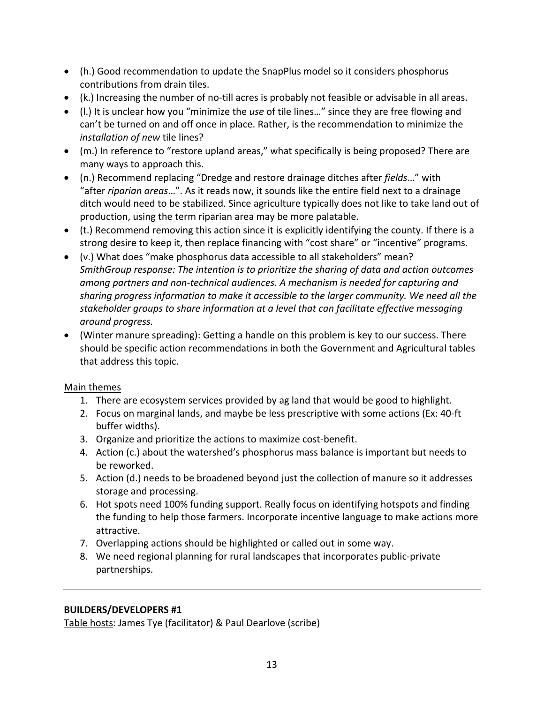- (h.) Good recommendation to update the SnapPlus model so it considers phosphorus contributions from drain tiles.
- (k.) Increasing the number of no-till acres is probably not feasible or advisable in all areas.
- (l.) It is unclear how you "minimize the *use* of tile lines…" since they are free flowing and can't be turned on and off once in place. Rather, is the recommendation to minimize the *installation of new* tile lines?
- (m.) In reference to "restore upland areas," what specifically is being proposed? There are many ways to approach this.
- (n.) Recommend replacing "Dredge and restore drainage ditches after *fields*…" with "after *riparian areas*…". As it reads now, it sounds like the entire field next to a drainage ditch would need to be stabilized. Since agriculture typically does not like to take land out of production, using the term riparian area may be more palatable.
- (t.) Recommend removing this action since it is explicitly identifying the county. If there is a strong desire to keep it, then replace financing with "cost share" or "incentive" programs.
- (v.) What does "make phosphorus data accessible to all stakeholders" mean? *SmithGroup response: The intention is to prioritize the sharing of data and action outcomes among partners and non-technical audiences. A mechanism is needed for capturing and sharing progress information to make it accessible to the larger community. We need all the stakeholder groups to share information at a level that can facilitate effective messaging around progress.*
- (Winter manure spreading): Getting a handle on this problem is key to our success. There should be specific action recommendations in both the Government and Agricultural tables that address this topic.

- 1. There are ecosystem services provided by ag land that would be good to highlight.
- 2. Focus on marginal lands, and maybe be less prescriptive with some actions (Ex: 40-ft buffer widths).
- 3. Organize and prioritize the actions to maximize cost-benefit.
- 4. Action (c.) about the watershed's phosphorus mass balance is important but needs to be reworked.
- 5. Action (d.) needs to be broadened beyond just the collection of manure so it addresses storage and processing.
- 6. Hot spots need 100% funding support. Really focus on identifying hotspots and finding the funding to help those farmers. Incorporate incentive language to make actions more attractive.
- 7. Overlapping actions should be highlighted or called out in some way.
- 8. We need regional planning for rural landscapes that incorporates public-private partnerships.

#### **BUILDERS/DEVELOPERS #1**

Table hosts: James Tye (facilitator) & Paul Dearlove (scribe)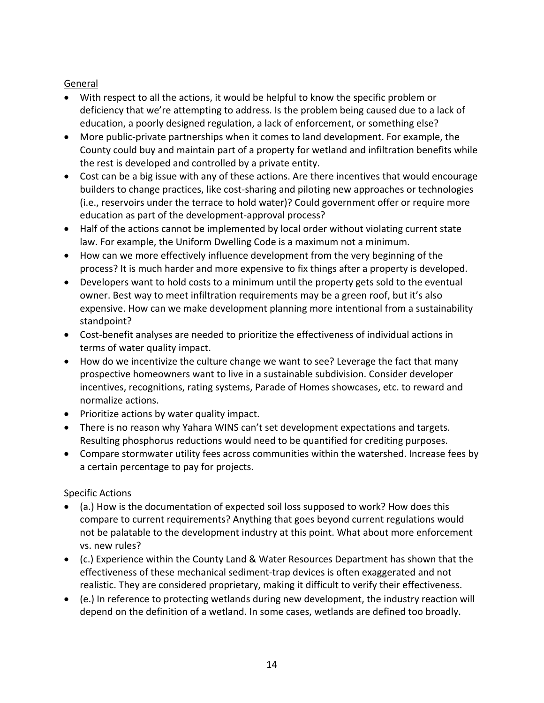### General

- With respect to all the actions, it would be helpful to know the specific problem or deficiency that we're attempting to address. Is the problem being caused due to a lack of education, a poorly designed regulation, a lack of enforcement, or something else?
- More public-private partnerships when it comes to land development. For example, the County could buy and maintain part of a property for wetland and infiltration benefits while the rest is developed and controlled by a private entity.
- Cost can be a big issue with any of these actions. Are there incentives that would encourage builders to change practices, like cost-sharing and piloting new approaches or technologies (i.e., reservoirs under the terrace to hold water)? Could government offer or require more education as part of the development-approval process?
- Half of the actions cannot be implemented by local order without violating current state law. For example, the Uniform Dwelling Code is a maximum not a minimum.
- How can we more effectively influence development from the very beginning of the process? It is much harder and more expensive to fix things after a property is developed.
- Developers want to hold costs to a minimum until the property gets sold to the eventual owner. Best way to meet infiltration requirements may be a green roof, but it's also expensive. How can we make development planning more intentional from a sustainability standpoint?
- Cost-benefit analyses are needed to prioritize the effectiveness of individual actions in terms of water quality impact.
- How do we incentivize the culture change we want to see? Leverage the fact that many prospective homeowners want to live in a sustainable subdivision. Consider developer incentives, recognitions, rating systems, Parade of Homes showcases, etc. to reward and normalize actions.
- Prioritize actions by water quality impact.
- There is no reason why Yahara WINS can't set development expectations and targets. Resulting phosphorus reductions would need to be quantified for crediting purposes.
- Compare stormwater utility fees across communities within the watershed. Increase fees by a certain percentage to pay for projects.

- (a.) How is the documentation of expected soil loss supposed to work? How does this compare to current requirements? Anything that goes beyond current regulations would not be palatable to the development industry at this point. What about more enforcement vs. new rules?
- (c.) Experience within the County Land & Water Resources Department has shown that the effectiveness of these mechanical sediment-trap devices is often exaggerated and not realistic. They are considered proprietary, making it difficult to verify their effectiveness.
- (e.) In reference to protecting wetlands during new development, the industry reaction will depend on the definition of a wetland. In some cases, wetlands are defined too broadly.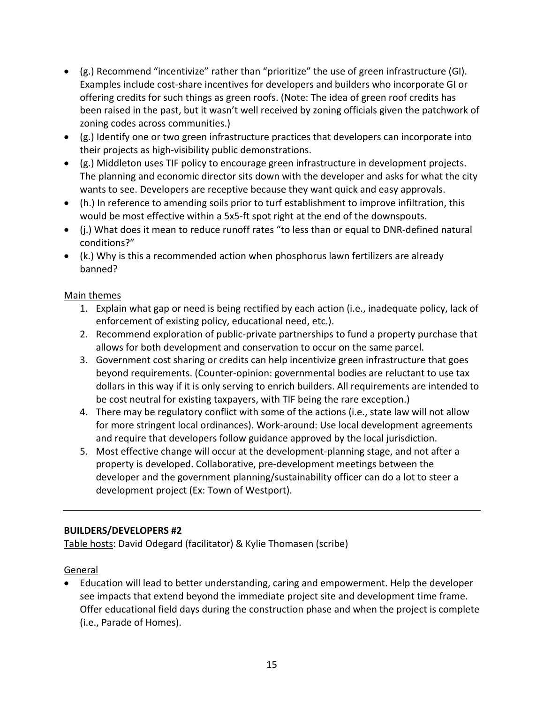- (g.) Recommend "incentivize" rather than "prioritize" the use of green infrastructure (GI). Examples include cost-share incentives for developers and builders who incorporate GI or offering credits for such things as green roofs. (Note: The idea of green roof credits has been raised in the past, but it wasn't well received by zoning officials given the patchwork of zoning codes across communities.)
- (g.) Identify one or two green infrastructure practices that developers can incorporate into their projects as high-visibility public demonstrations.
- (g.) Middleton uses TIF policy to encourage green infrastructure in development projects. The planning and economic director sits down with the developer and asks for what the city wants to see. Developers are receptive because they want quick and easy approvals.
- (h.) In reference to amending soils prior to turf establishment to improve infiltration, this would be most effective within a 5x5-ft spot right at the end of the downspouts.
- (j.) What does it mean to reduce runoff rates "to less than or equal to DNR-defined natural conditions?"
- (k.) Why is this a recommended action when phosphorus lawn fertilizers are already banned?

- 1. Explain what gap or need is being rectified by each action (i.e., inadequate policy, lack of enforcement of existing policy, educational need, etc.).
- 2. Recommend exploration of public-private partnerships to fund a property purchase that allows for both development and conservation to occur on the same parcel.
- 3. Government cost sharing or credits can help incentivize green infrastructure that goes beyond requirements. (Counter-opinion: governmental bodies are reluctant to use tax dollars in this way if it is only serving to enrich builders. All requirements are intended to be cost neutral for existing taxpayers, with TIF being the rare exception.)
- 4. There may be regulatory conflict with some of the actions (i.e., state law will not allow for more stringent local ordinances). Work-around: Use local development agreements and require that developers follow guidance approved by the local jurisdiction.
- 5. Most effective change will occur at the development-planning stage, and not after a property is developed. Collaborative, pre-development meetings between the developer and the government planning/sustainability officer can do a lot to steer a development project (Ex: Town of Westport).

### **BUILDERS/DEVELOPERS #2**

Table hosts: David Odegard (facilitator) & Kylie Thomasen (scribe)

#### General

• Education will lead to better understanding, caring and empowerment. Help the developer see impacts that extend beyond the immediate project site and development time frame. Offer educational field days during the construction phase and when the project is complete (i.e., Parade of Homes).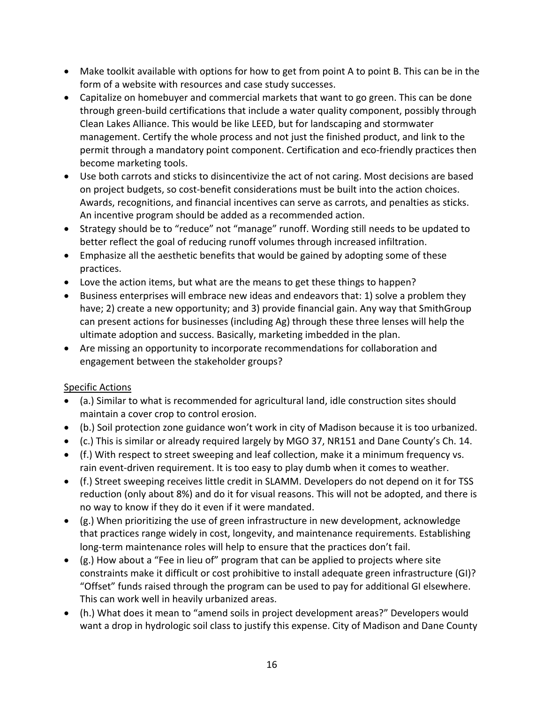- Make toolkit available with options for how to get from point A to point B. This can be in the form of a website with resources and case study successes.
- Capitalize on homebuyer and commercial markets that want to go green. This can be done through green-build certifications that include a water quality component, possibly through Clean Lakes Alliance. This would be like LEED, but for landscaping and stormwater management. Certify the whole process and not just the finished product, and link to the permit through a mandatory point component. Certification and eco-friendly practices then become marketing tools.
- Use both carrots and sticks to disincentivize the act of not caring. Most decisions are based on project budgets, so cost-benefit considerations must be built into the action choices. Awards, recognitions, and financial incentives can serve as carrots, and penalties as sticks. An incentive program should be added as a recommended action.
- Strategy should be to "reduce" not "manage" runoff. Wording still needs to be updated to better reflect the goal of reducing runoff volumes through increased infiltration.
- Emphasize all the aesthetic benefits that would be gained by adopting some of these practices.
- Love the action items, but what are the means to get these things to happen?
- Business enterprises will embrace new ideas and endeavors that: 1) solve a problem they have; 2) create a new opportunity; and 3) provide financial gain. Any way that SmithGroup can present actions for businesses (including Ag) through these three lenses will help the ultimate adoption and success. Basically, marketing imbedded in the plan.
- Are missing an opportunity to incorporate recommendations for collaboration and engagement between the stakeholder groups?

- (a.) Similar to what is recommended for agricultural land, idle construction sites should maintain a cover crop to control erosion.
- (b.) Soil protection zone guidance won't work in city of Madison because it is too urbanized.
- (c.) This is similar or already required largely by MGO 37, NR151 and Dane County's Ch. 14.
- (f.) With respect to street sweeping and leaf collection, make it a minimum frequency vs. rain event-driven requirement. It is too easy to play dumb when it comes to weather.
- (f.) Street sweeping receives little credit in SLAMM. Developers do not depend on it for TSS reduction (only about 8%) and do it for visual reasons. This will not be adopted, and there is no way to know if they do it even if it were mandated.
- (g.) When prioritizing the use of green infrastructure in new development, acknowledge that practices range widely in cost, longevity, and maintenance requirements. Establishing long-term maintenance roles will help to ensure that the practices don't fail.
- (g.) How about a "Fee in lieu of" program that can be applied to projects where site constraints make it difficult or cost prohibitive to install adequate green infrastructure (GI)? "Offset" funds raised through the program can be used to pay for additional GI elsewhere. This can work well in heavily urbanized areas.
- (h.) What does it mean to "amend soils in project development areas?" Developers would want a drop in hydrologic soil class to justify this expense. City of Madison and Dane County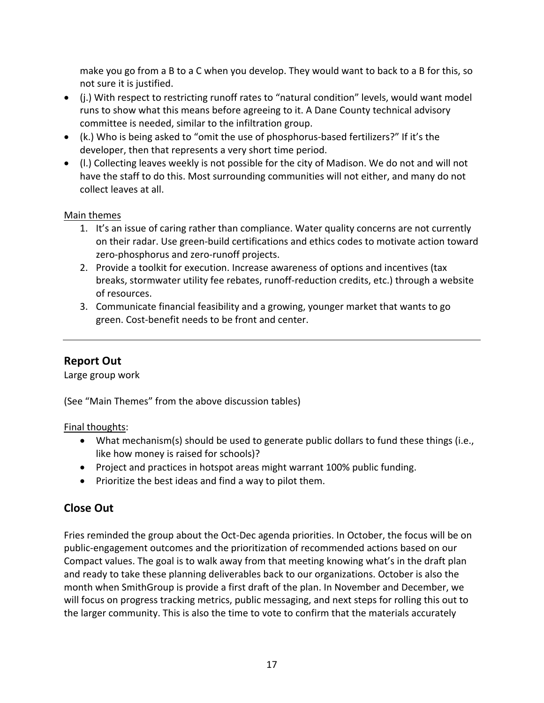make you go from a B to a C when you develop. They would want to back to a B for this, so not sure it is justified.

- (j.) With respect to restricting runoff rates to "natural condition" levels, would want model runs to show what this means before agreeing to it. A Dane County technical advisory committee is needed, similar to the infiltration group.
- (k.) Who is being asked to "omit the use of phosphorus-based fertilizers?" If it's the developer, then that represents a very short time period.
- (l.) Collecting leaves weekly is not possible for the city of Madison. We do not and will not have the staff to do this. Most surrounding communities will not either, and many do not collect leaves at all.

### Main themes

- 1. It's an issue of caring rather than compliance. Water quality concerns are not currently on their radar. Use green-build certifications and ethics codes to motivate action toward zero-phosphorus and zero-runoff projects.
- 2. Provide a toolkit for execution. Increase awareness of options and incentives (tax breaks, stormwater utility fee rebates, runoff-reduction credits, etc.) through a website of resources.
- 3. Communicate financial feasibility and a growing, younger market that wants to go green. Cost-benefit needs to be front and center.

## **Report Out**

Large group work

(See "Main Themes" from the above discussion tables)

Final thoughts:

- What mechanism(s) should be used to generate public dollars to fund these things (i.e., like how money is raised for schools)?
- Project and practices in hotspot areas might warrant 100% public funding.
- Prioritize the best ideas and find a way to pilot them.

## **Close Out**

Fries reminded the group about the Oct-Dec agenda priorities. In October, the focus will be on public-engagement outcomes and the prioritization of recommended actions based on our Compact values. The goal is to walk away from that meeting knowing what's in the draft plan and ready to take these planning deliverables back to our organizations. October is also the month when SmithGroup is provide a first draft of the plan. In November and December, we will focus on progress tracking metrics, public messaging, and next steps for rolling this out to the larger community. This is also the time to vote to confirm that the materials accurately